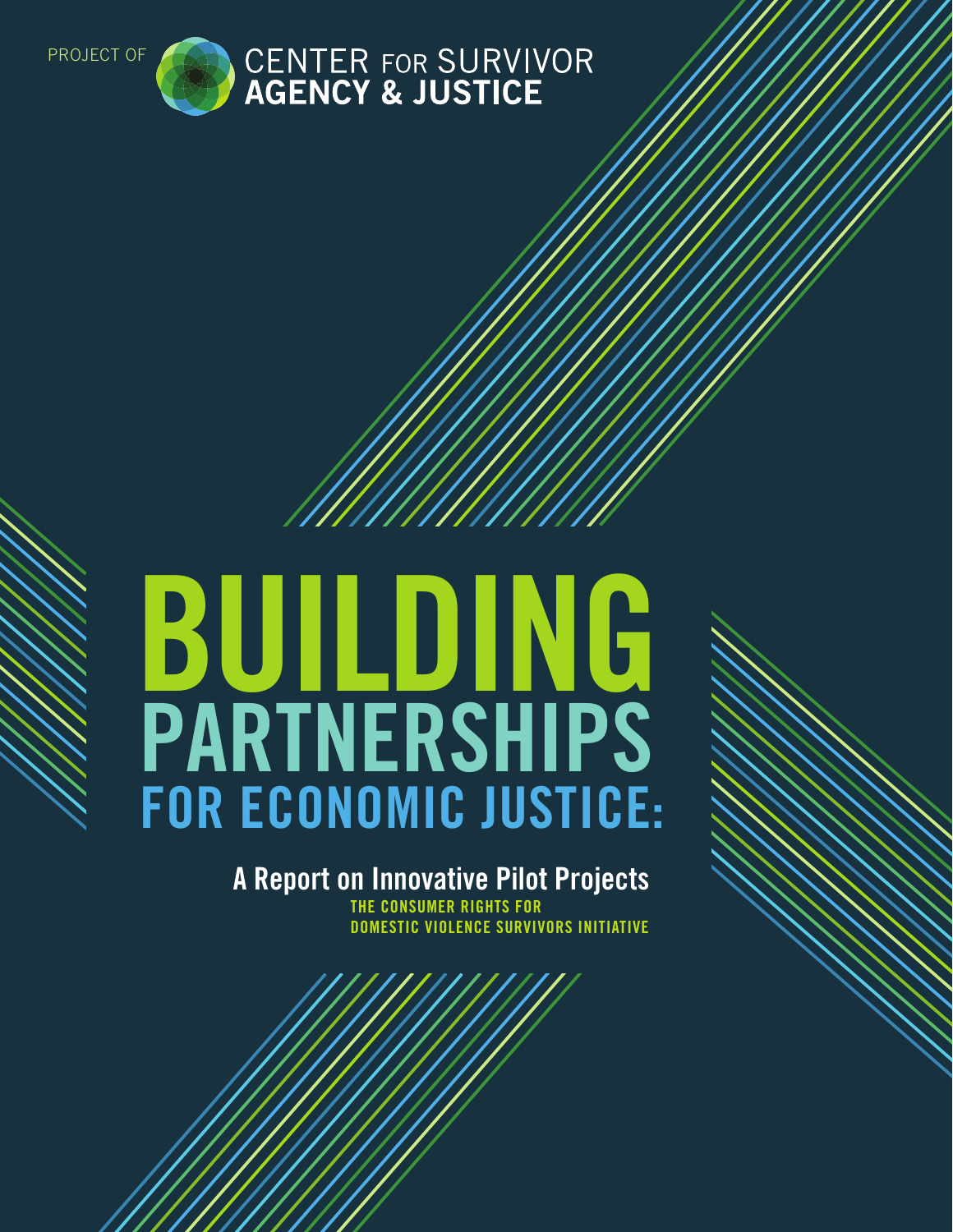

# **PARTNERSHIPS BUILDING FOR ECONOMIC JUSTICE:**

**A Report on Innovative Pilot Projects THE CONSUMER RIGHTS FOR DOMESTIC VIOLENCE SURVIVORS INITIATIVE**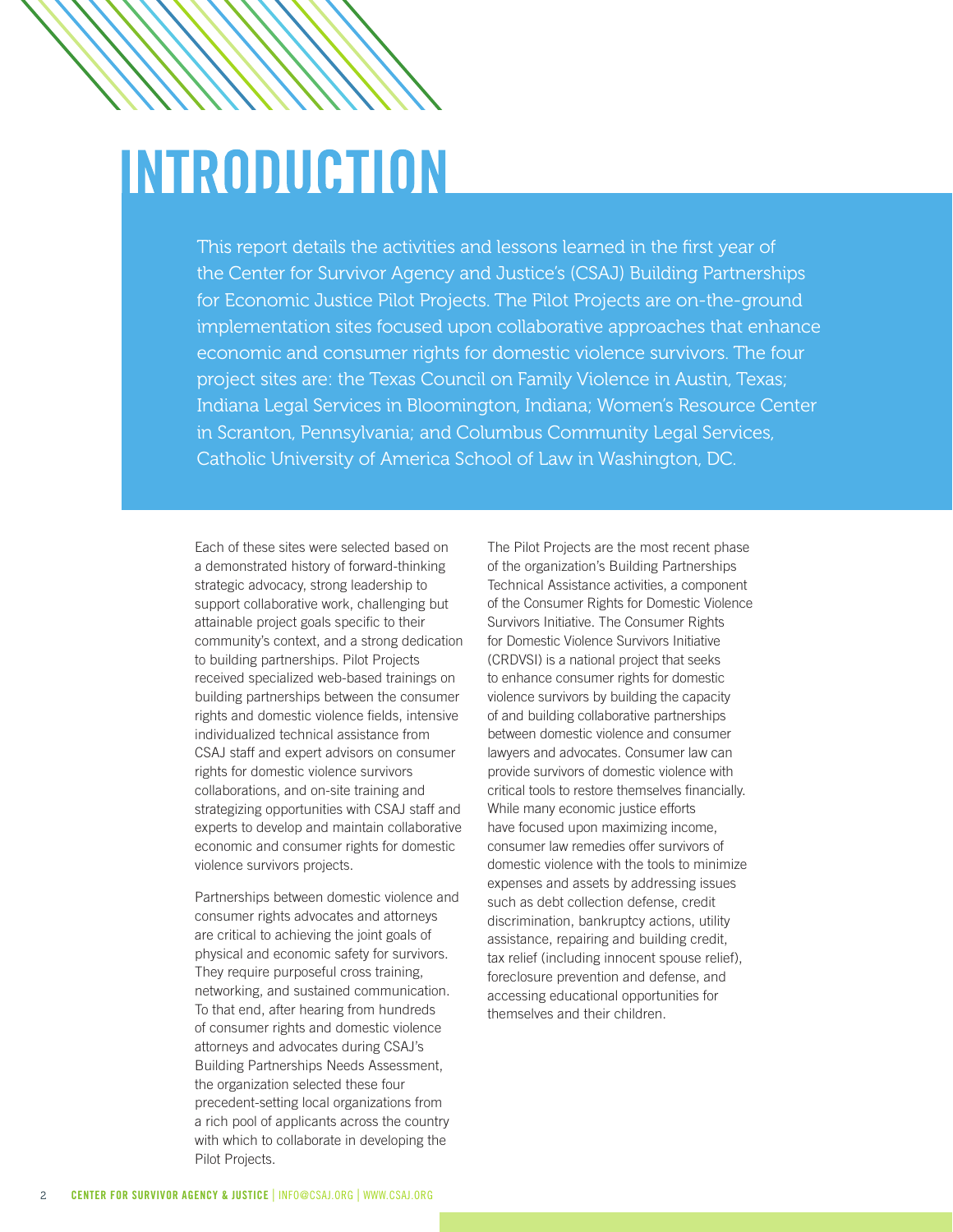# **INTRODUCTION**

This report details the activities and lessons learned in the first year of the Center for Survivor Agency and Justice's (CSAJ) Building Partnerships for Economic Justice Pilot Projects. The Pilot Projects are on-the-ground implementation sites focused upon collaborative approaches that enhance economic and consumer rights for domestic violence survivors. The four project sites are: the Texas Council on Family Violence in Austin, Texas; Indiana Legal Services in Bloomington, Indiana; Women's Resource Center in Scranton, Pennsylvania; and Columbus Community Legal Services, Catholic University of America School of Law in Washington, DC.

Each of these sites were selected based on a demonstrated history of forward-thinking strategic advocacy, strong leadership to support collaborative work, challenging but attainable project goals specific to their community's context, and a strong dedication to building partnerships. Pilot Projects received specialized web-based trainings on building partnerships between the consumer rights and domestic violence fields, intensive individualized technical assistance from CSAJ staff and expert advisors on consumer rights for domestic violence survivors collaborations, and on-site training and strategizing opportunities with CSAJ staff and experts to develop and maintain collaborative economic and consumer rights for domestic violence survivors projects.

Partnerships between domestic violence and consumer rights advocates and attorneys are critical to achieving the joint goals of physical and economic safety for survivors. They require purposeful cross training, networking, and sustained communication. To that end, after hearing from hundreds of consumer rights and domestic violence attorneys and advocates during CSAJ's Building Partnerships Needs Assessment, the organization selected these four precedent-setting local organizations from a rich pool of applicants across the country with which to collaborate in developing the Pilot Projects.

The Pilot Projects are the most recent phase of the organization's Building Partnerships Technical Assistance activities, a component of the Consumer Rights for Domestic Violence Survivors Initiative. The Consumer Rights for Domestic Violence Survivors Initiative (CRDVSI) is a national project that seeks to enhance consumer rights for domestic violence survivors by building the capacity of and building collaborative partnerships between domestic violence and consumer lawyers and advocates. Consumer law can provide survivors of domestic violence with critical tools to restore themselves financially. While many economic justice efforts have focused upon maximizing income, consumer law remedies offer survivors of domestic violence with the tools to minimize expenses and assets by addressing issues such as debt collection defense, credit discrimination, bankruptcy actions, utility assistance, repairing and building credit, tax relief (including innocent spouse relief), foreclosure prevention and defense, and accessing educational opportunities for themselves and their children.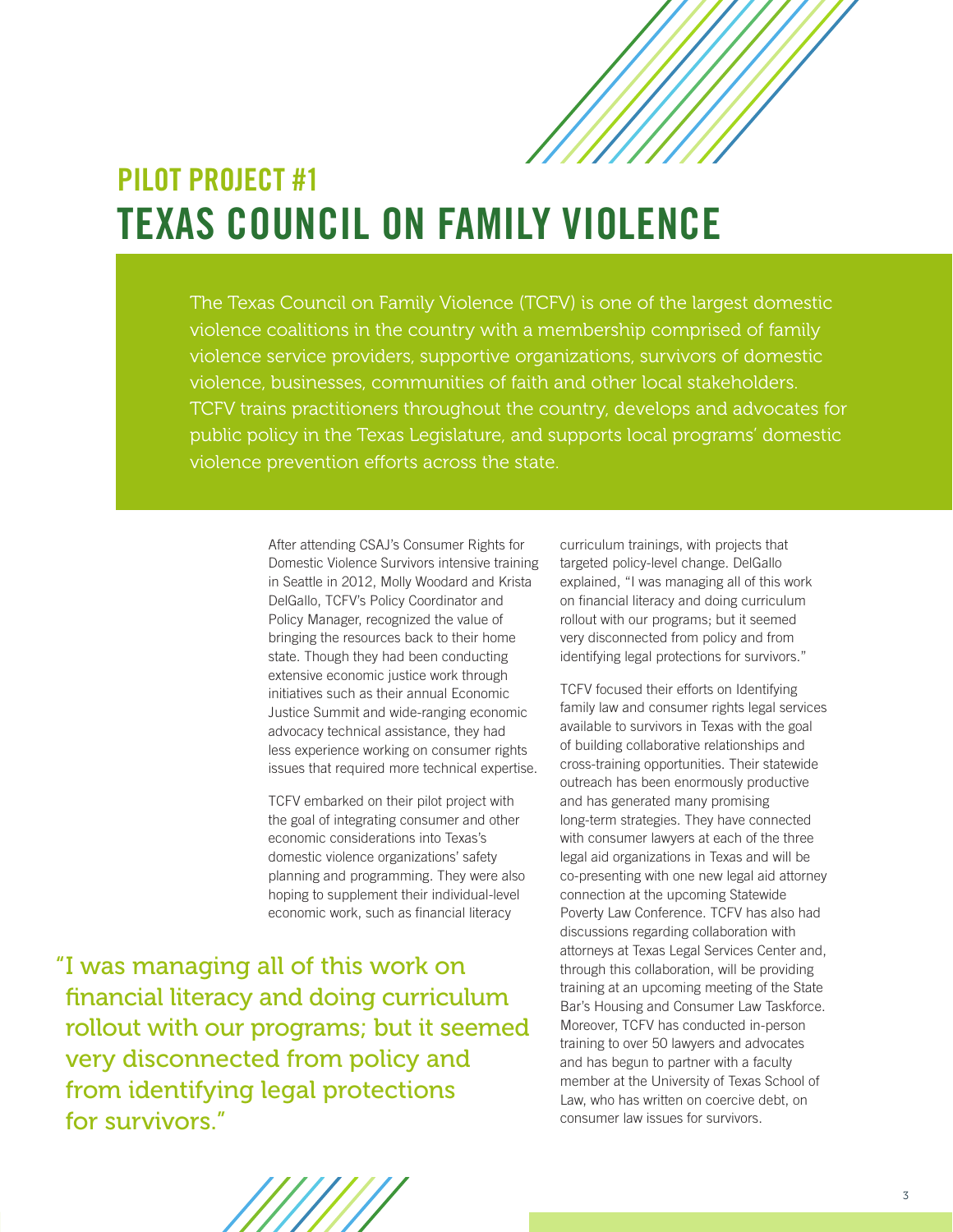

### **PILOT PROJECT #1 TEXAS COUNCIL ON FAMILY VIOLENCE**

The Texas Council on Family Violence (TCFV) is one of the largest domestic violence coalitions in the country with a membership comprised of family violence service providers, supportive organizations, survivors of domestic violence, businesses, communities of faith and other local stakeholders. TCFV trains practitioners throughout the country, develops and advocates for public policy in the Texas Legislature, and supports local programs' domestic violence prevention efforts across the state.

> After attending CSAJ's Consumer Rights for Domestic Violence Survivors intensive training in Seattle in 2012, Molly Woodard and Krista DelGallo, TCFV's Policy Coordinator and Policy Manager, recognized the value of bringing the resources back to their home state. Though they had been conducting extensive economic justice work through initiatives such as their annual Economic Justice Summit and wide-ranging economic advocacy technical assistance, they had less experience working on consumer rights issues that required more technical expertise.

TCFV embarked on their pilot project with the goal of integrating consumer and other economic considerations into Texas's domestic violence organizations' safety planning and programming. They were also hoping to supplement their individual-level economic work, such as financial literacy

"I was managing all of this work on financial literacy and doing curriculum rollout with our programs; but it seemed very disconnected from policy and from identifying legal protections for survivors."

curriculum trainings, with projects that targeted policy-level change. DelGallo explained, "I was managing all of this work on financial literacy and doing curriculum rollout with our programs; but it seemed very disconnected from policy and from identifying legal protections for survivors."

TCFV focused their efforts on Identifying family law and consumer rights legal services available to survivors in Texas with the goal of building collaborative relationships and cross-training opportunities. Their statewide outreach has been enormously productive and has generated many promising long-term strategies. They have connected with consumer lawyers at each of the three legal aid organizations in Texas and will be co-presenting with one new legal aid attorney connection at the upcoming Statewide Poverty Law Conference. TCFV has also had discussions regarding collaboration with attorneys at Texas Legal Services Center and, through this collaboration, will be providing training at an upcoming meeting of the State Bar's Housing and Consumer Law Taskforce. Moreover, TCFV has conducted in-person training to over 50 lawyers and advocates and has begun to partner with a faculty member at the University of Texas School of Law, who has written on coercive debt, on consumer law issues for survivors.

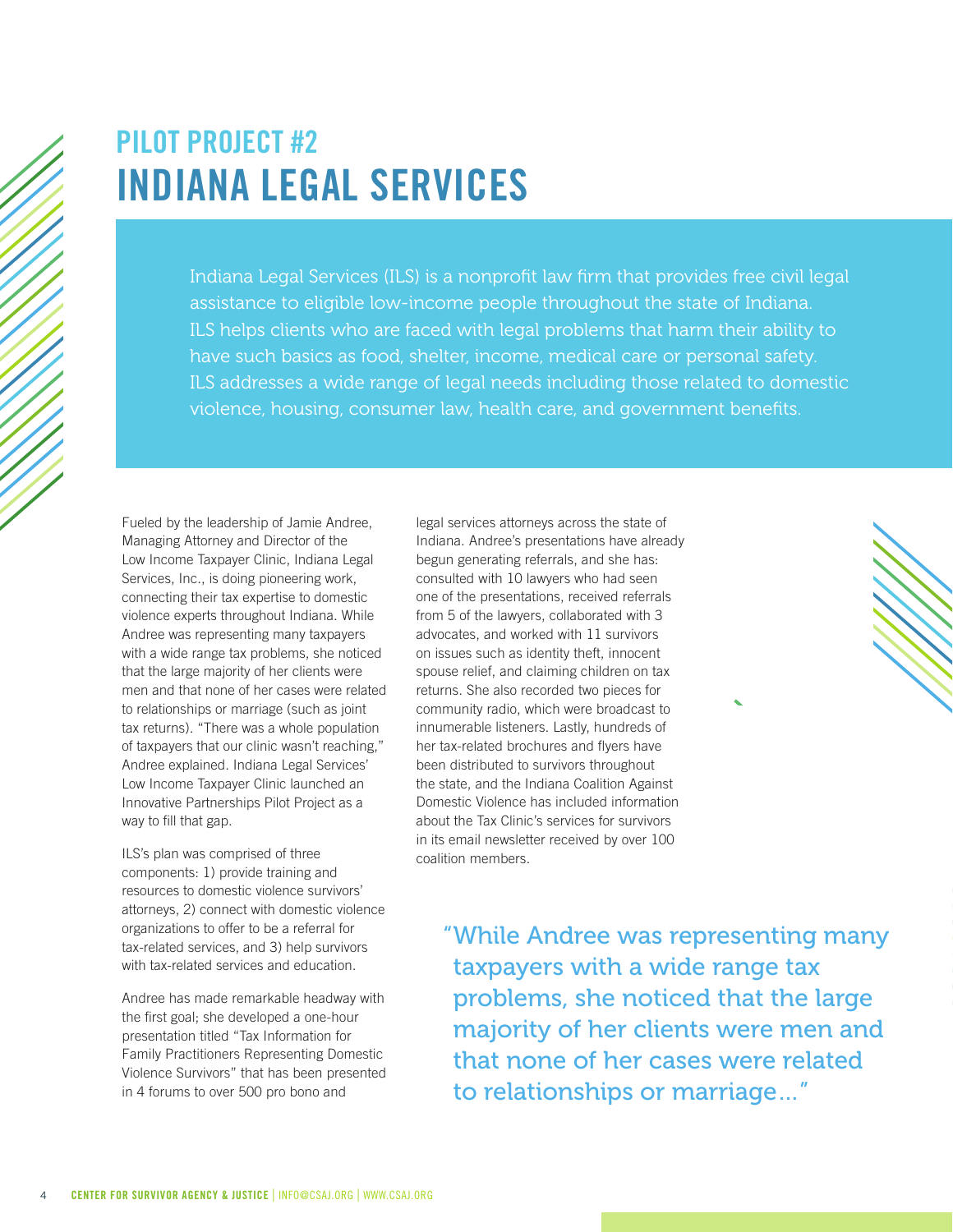### **PILOT PROJECT #2 INDIANA LEGAL SERVICES**

Indiana Legal Services (ILS) is a nonprofit law firm that provides free civil legal assistance to eligible low-income people throughout the state of Indiana. ILS helps clients who are faced with legal problems that harm their ability to have such basics as food, shelter, income, medical care or personal safety. ILS addresses a wide range of legal needs including those related to domestic violence, housing, consumer law, health care, and government benefits.

Fueled by the leadership of Jamie Andree, Managing Attorney and Director of the Low Income Taxpayer Clinic, Indiana Legal Services, Inc., is doing pioneering work, connecting their tax expertise to domestic violence experts throughout Indiana. While Andree was representing many taxpayers with a wide range tax problems, she noticed that the large majority of her clients were men and that none of her cases were related to relationships or marriage (such as joint tax returns). "There was a whole population of taxpayers that our clinic wasn't reaching," Andree explained. Indiana Legal Services' Low Income Taxpayer Clinic launched an Innovative Partnerships Pilot Project as a way to fill that gap.

ILS's plan was comprised of three components: 1) provide training and resources to domestic violence survivors' attorneys, 2) connect with domestic violence organizations to offer to be a referral for tax-related services, and 3) help survivors with tax-related services and education.

Andree has made remarkable headway with the first goal; she developed a one-hour presentation titled "Tax Information for Family Practitioners Representing Domestic Violence Survivors" that has been presented in 4 forums to over 500 pro bono and

legal services attorneys across the state of Indiana. Andree's presentations have already begun generating referrals, and she has: consulted with 10 lawyers who had seen one of the presentations, received referrals from 5 of the lawyers, collaborated with 3 advocates, and worked with 11 survivors on issues such as identity theft, innocent spouse relief, and claiming children on tax returns. She also recorded two pieces for community radio, which were broadcast to innumerable listeners. Lastly, hundreds of her tax-related brochures and flyers have been distributed to survivors throughout the state, and the Indiana Coalition Against Domestic Violence has included information about the Tax Clinic's services for survivors in its email newsletter received by over 100 coalition members.

> "While Andree was representing many taxpayers with a wide range tax problems, she noticed that the large majority of her clients were men and that none of her cases were related to relationships or marriage…"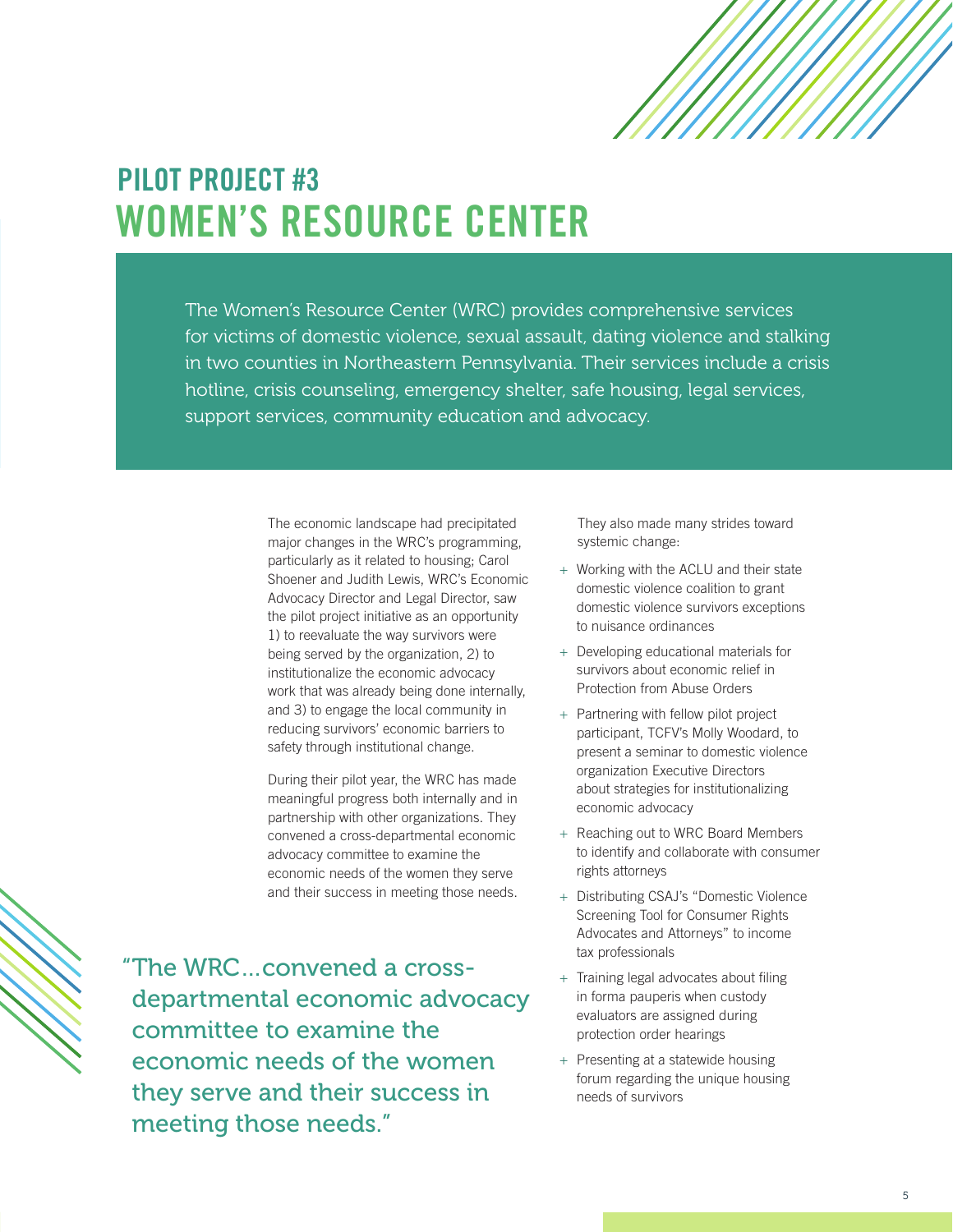### **PILOT PROJECT #3 WOMEN'S RESOURCE CENTER**

The Women's Resource Center (WRC) provides comprehensive services for victims of domestic violence, sexual assault, dating violence and stalking in two counties in Northeastern Pennsylvania. Their services include a crisis hotline, crisis counseling, emergency shelter, safe housing, legal services, support services, community education and advocacy.

> The economic landscape had precipitated major changes in the WRC's programming, particularly as it related to housing; Carol Shoener and Judith Lewis, WRC's Economic Advocacy Director and Legal Director, saw the pilot project initiative as an opportunity 1) to reevaluate the way survivors were being served by the organization, 2) to institutionalize the economic advocacy work that was already being done internally, and 3) to engage the local community in reducing survivors' economic barriers to safety through institutional change.

During their pilot year, the WRC has made meaningful progress both internally and in partnership with other organizations. They convened a cross-departmental economic advocacy committee to examine the economic needs of the women they serve and their success in meeting those needs.

"The WRC…convened a crossdepartmental economic advocacy committee to examine the economic needs of the women they serve and their success in meeting those needs."

They also made many strides toward systemic change:

- + Working with the ACLU and their state domestic violence coalition to grant domestic violence survivors exceptions to nuisance ordinances
- + Developing educational materials for survivors about economic relief in Protection from Abuse Orders
- + Partnering with fellow pilot project participant, TCFV's Molly Woodard, to present a seminar to domestic violence organization Executive Directors about strategies for institutionalizing economic advocacy
- + Reaching out to WRC Board Members to identify and collaborate with consumer rights attorneys
- + Distributing CSAJ's "Domestic Violence Screening Tool for Consumer Rights Advocates and Attorneys" to income tax professionals
- + Training legal advocates about filing in forma pauperis when custody evaluators are assigned during protection order hearings
- + Presenting at a statewide housing forum regarding the unique housing needs of survivors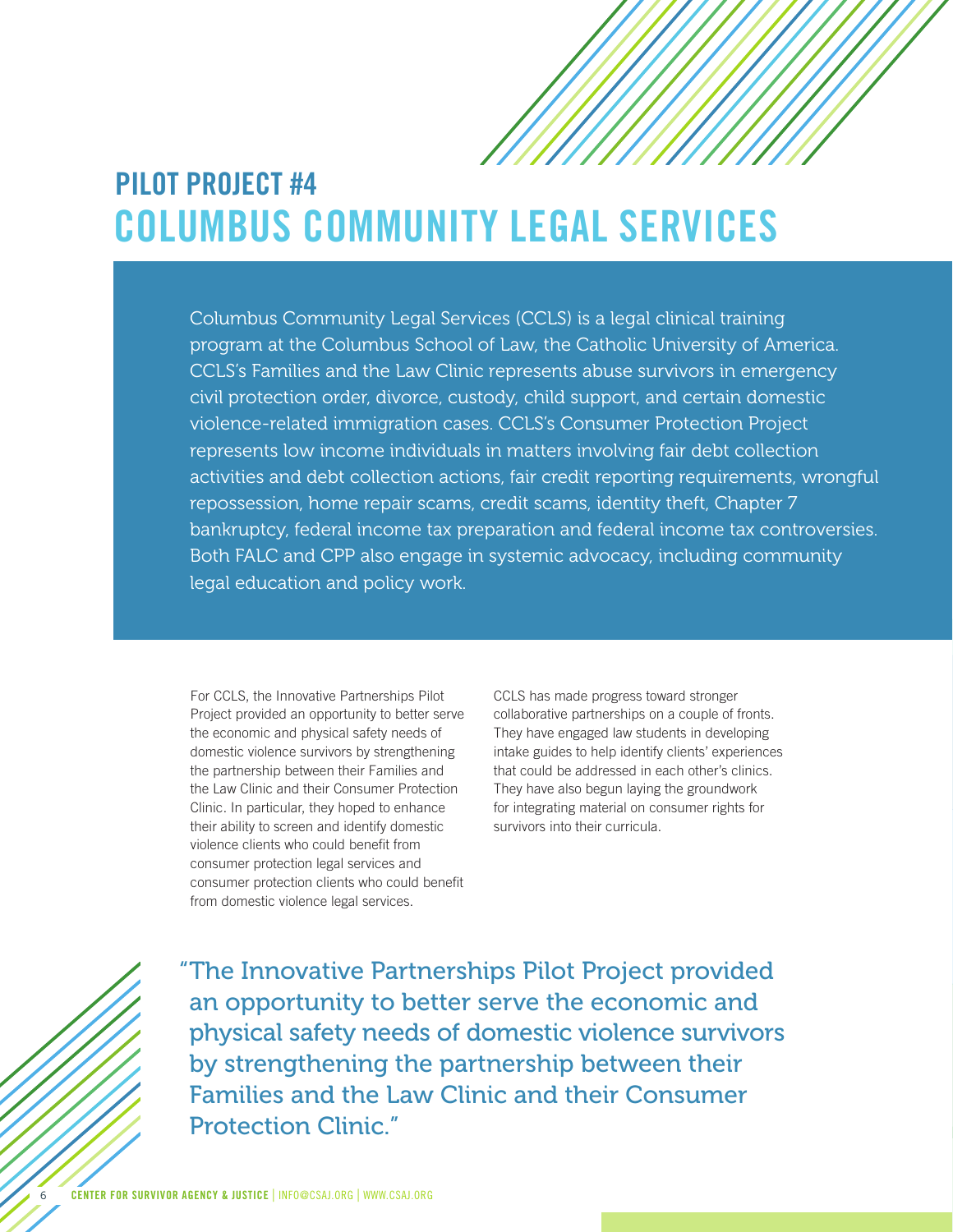### **PILOT PROJECT #4 COLUMBUS COMMUNITY LEGAL SERVICES**

Columbus Community Legal Services (CCLS) is a legal clinical training program at the Columbus School of Law, the Catholic University of America. CCLS's Families and the Law Clinic represents abuse survivors in emergency civil protection order, divorce, custody, child support, and certain domestic violence-related immigration cases. CCLS's Consumer Protection Project represents low income individuals in matters involving fair debt collection activities and debt collection actions, fair credit reporting requirements, wrongful repossession, home repair scams, credit scams, identity theft, Chapter 7 bankruptcy, federal income tax preparation and federal income tax controversies. Both FALC and CPP also engage in systemic advocacy, including community legal education and policy work.

For CCLS, the Innovative Partnerships Pilot Project provided an opportunity to better serve the economic and physical safety needs of domestic violence survivors by strengthening the partnership between their Families and the Law Clinic and their Consumer Protection Clinic. In particular, they hoped to enhance their ability to screen and identify domestic violence clients who could benefit from consumer protection legal services and consumer protection clients who could benefit from domestic violence legal services.

CCLS has made progress toward stronger collaborative partnerships on a couple of fronts. They have engaged law students in developing intake guides to help identify clients' experiences that could be addressed in each other's clinics. They have also begun laying the groundwork for integrating material on consumer rights for survivors into their curricula.



"The Innovative Partnerships Pilot Project provided an opportunity to better serve the economic and physical safety needs of domestic violence survivors by strengthening the partnership between their Families and the Law Clinic and their Consumer Protection Clinic."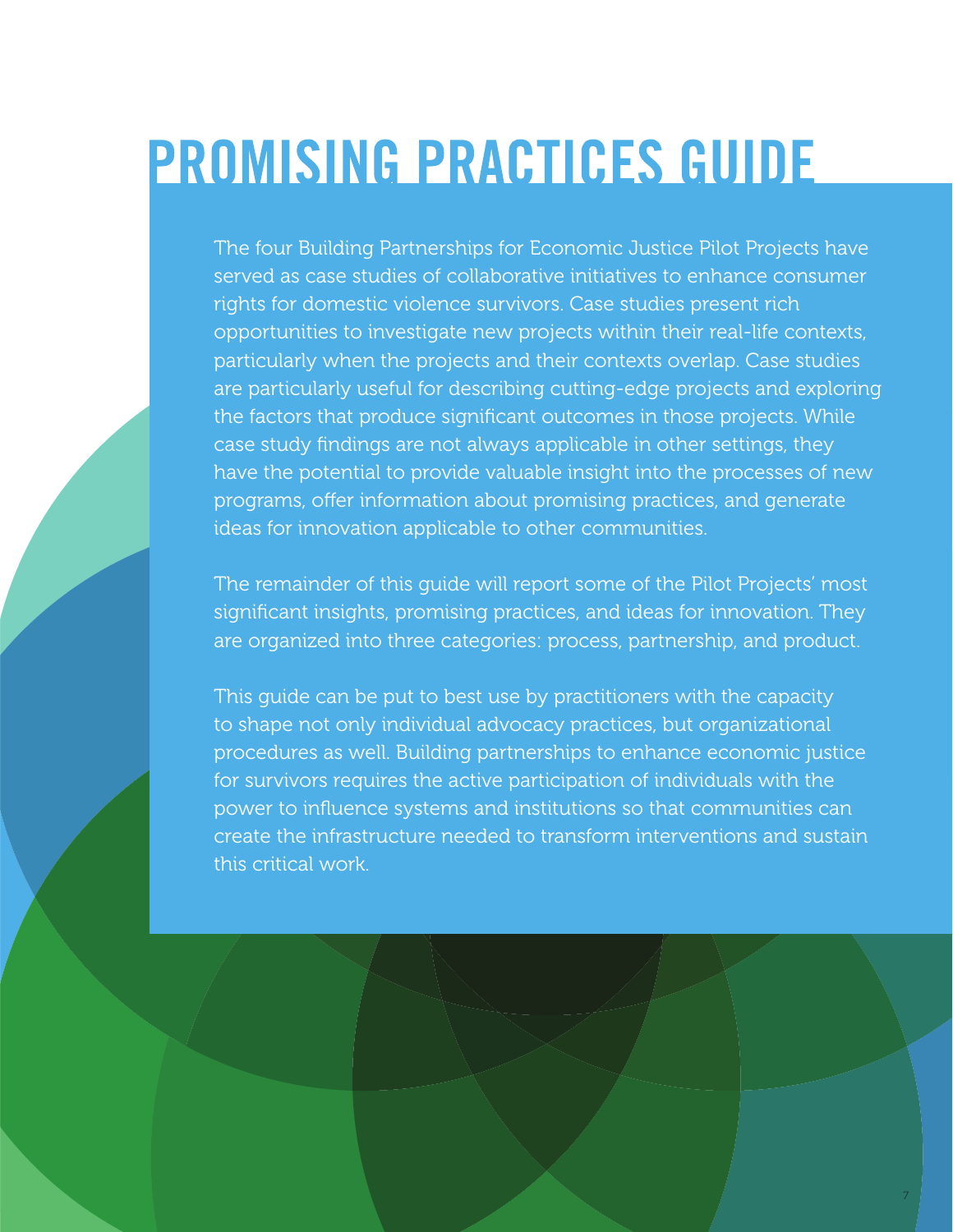# **PROMISING PRACTICES GUIDE**

The four Building Partnerships for Economic Justice Pilot Projects have served as case studies of collaborative initiatives to enhance consumer rights for domestic violence survivors. Case studies present rich opportunities to investigate new projects within their real-life contexts, particularly when the projects and their contexts overlap. Case studies are particularly useful for describing cutting-edge projects and exploring the factors that produce significant outcomes in those projects. While case study findings are not always applicable in other settings, they have the potential to provide valuable insight into the processes of new programs, offer information about promising practices, and generate ideas for innovation applicable to other communities.

The remainder of this guide will report some of the Pilot Projects' most significant insights, promising practices, and ideas for innovation. They are organized into three categories: process, partnership, and product.

This guide can be put to best use by practitioners with the capacity to shape not only individual advocacy practices, but organizational procedures as well. Building partnerships to enhance economic justice for survivors requires the active participation of individuals with the power to influence systems and institutions so that communities can create the infrastructure needed to transform interventions and sustain this critical work.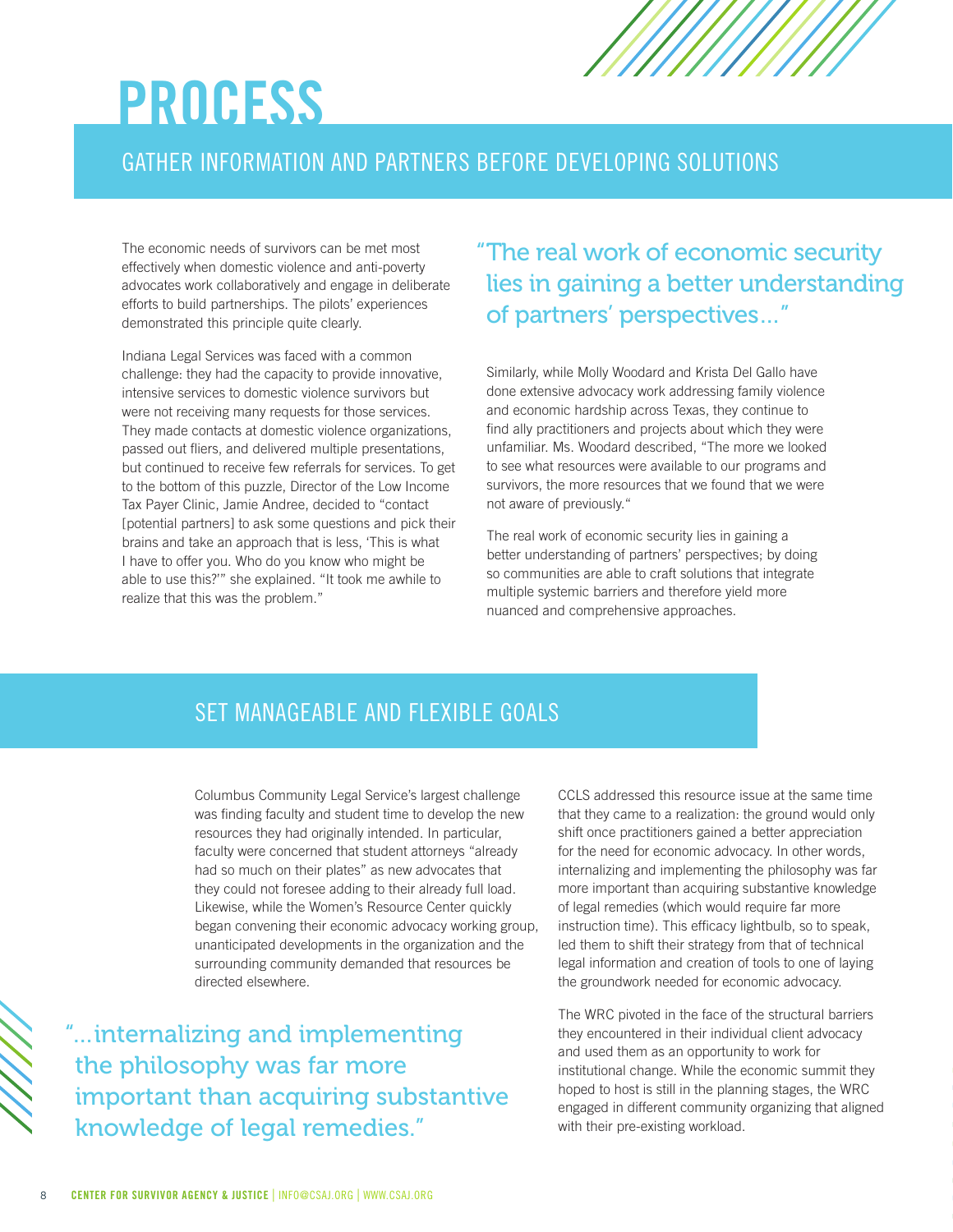# **PROCESS**

#### GATHER INFORMATION AND PARTNERS BEFORE DEVELOPING SOLUTIONS

The economic needs of survivors can be met most effectively when domestic violence and anti-poverty advocates work collaboratively and engage in deliberate efforts to build partnerships. The pilots' experiences demonstrated this principle quite clearly.

Indiana Legal Services was faced with a common challenge: they had the capacity to provide innovative, intensive services to domestic violence survivors but were not receiving many requests for those services. They made contacts at domestic violence organizations, passed out fliers, and delivered multiple presentations, but continued to receive few referrals for services. To get to the bottom of this puzzle, Director of the Low Income Tax Payer Clinic, Jamie Andree, decided to "contact [potential partners] to ask some questions and pick their brains and take an approach that is less, 'This is what I have to offer you. Who do you know who might be able to use this?'" she explained. "It took me awhile to realize that this was the problem."

"The real work of economic security lies in gaining a better understanding of partners' perspectives…"

Similarly, while Molly Woodard and Krista Del Gallo have done extensive advocacy work addressing family violence and economic hardship across Texas, they continue to find ally practitioners and projects about which they were unfamiliar. Ms. Woodard described, "The more we looked to see what resources were available to our programs and survivors, the more resources that we found that we were not aware of previously."

The real work of economic security lies in gaining a better understanding of partners' perspectives; by doing so communities are able to craft solutions that integrate multiple systemic barriers and therefore yield more nuanced and comprehensive approaches.

#### SET MANAGEABLE AND FLEXIBLE GOALS

Columbus Community Legal Service's largest challenge was finding faculty and student time to develop the new resources they had originally intended. In particular, faculty were concerned that student attorneys "already had so much on their plates" as new advocates that they could not foresee adding to their already full load. Likewise, while the Women's Resource Center quickly began convening their economic advocacy working group, unanticipated developments in the organization and the surrounding community demanded that resources be directed elsewhere.

"…internalizing and implementing the philosophy was far more important than acquiring substantive knowledge of legal remedies."

CCLS addressed this resource issue at the same time that they came to a realization: the ground would only shift once practitioners gained a better appreciation for the need for economic advocacy. In other words, internalizing and implementing the philosophy was far more important than acquiring substantive knowledge of legal remedies (which would require far more instruction time). This efficacy lightbulb, so to speak, led them to shift their strategy from that of technical legal information and creation of tools to one of laying the groundwork needed for economic advocacy.

The WRC pivoted in the face of the structural barriers they encountered in their individual client advocacy and used them as an opportunity to work for institutional change. While the economic summit they hoped to host is still in the planning stages, the WRC engaged in different community organizing that aligned with their pre-existing workload.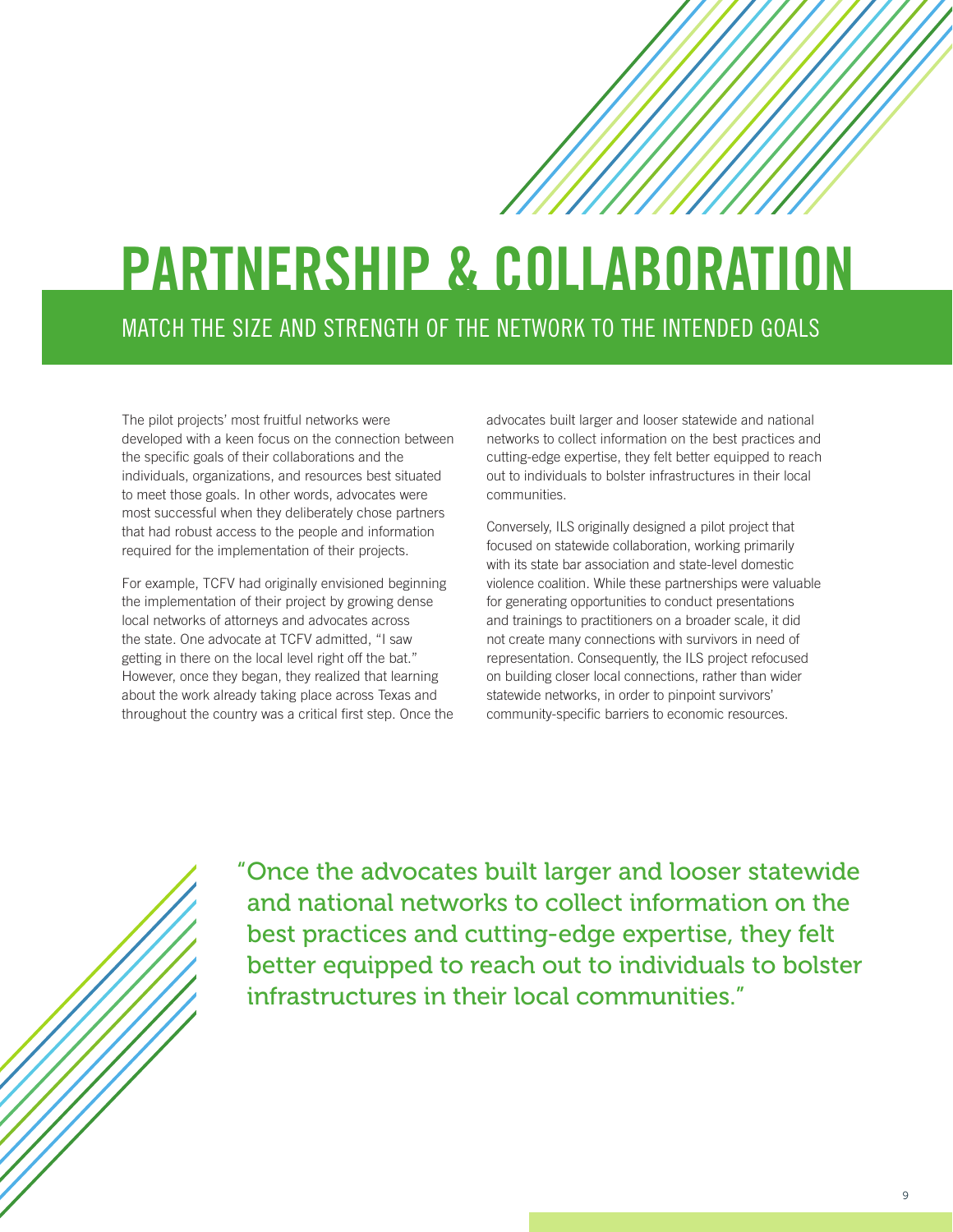## **PARTNERSHIP & COLLABORATION** MATCH THE SIZE AND STRENGTH OF THE NETWORK TO THE INTENDED GOALS

The pilot projects' most fruitful networks were developed with a keen focus on the connection between the specific goals of their collaborations and the individuals, organizations, and resources best situated to meet those goals. In other words, advocates were most successful when they deliberately chose partners that had robust access to the people and information required for the implementation of their projects.

For example, TCFV had originally envisioned beginning the implementation of their project by growing dense local networks of attorneys and advocates across the state. One advocate at TCFV admitted, "I saw getting in there on the local level right off the bat." However, once they began, they realized that learning about the work already taking place across Texas and throughout the country was a critical first step. Once the advocates built larger and looser statewide and national networks to collect information on the best practices and cutting-edge expertise, they felt better equipped to reach out to individuals to bolster infrastructures in their local communities.

Conversely, ILS originally designed a pilot project that focused on statewide collaboration, working primarily with its state bar association and state-level domestic violence coalition. While these partnerships were valuable for generating opportunities to conduct presentations and trainings to practitioners on a broader scale, it did not create many connections with survivors in need of representation. Consequently, the ILS project refocused on building closer local connections, rather than wider statewide networks, in order to pinpoint survivors' community-specific barriers to economic resources.

"Once the advocates built larger and looser statewide and national networks to collect information on the best practices and cutting-edge expertise, they felt better equipped to reach out to individuals to bolster infrastructures in their local communities."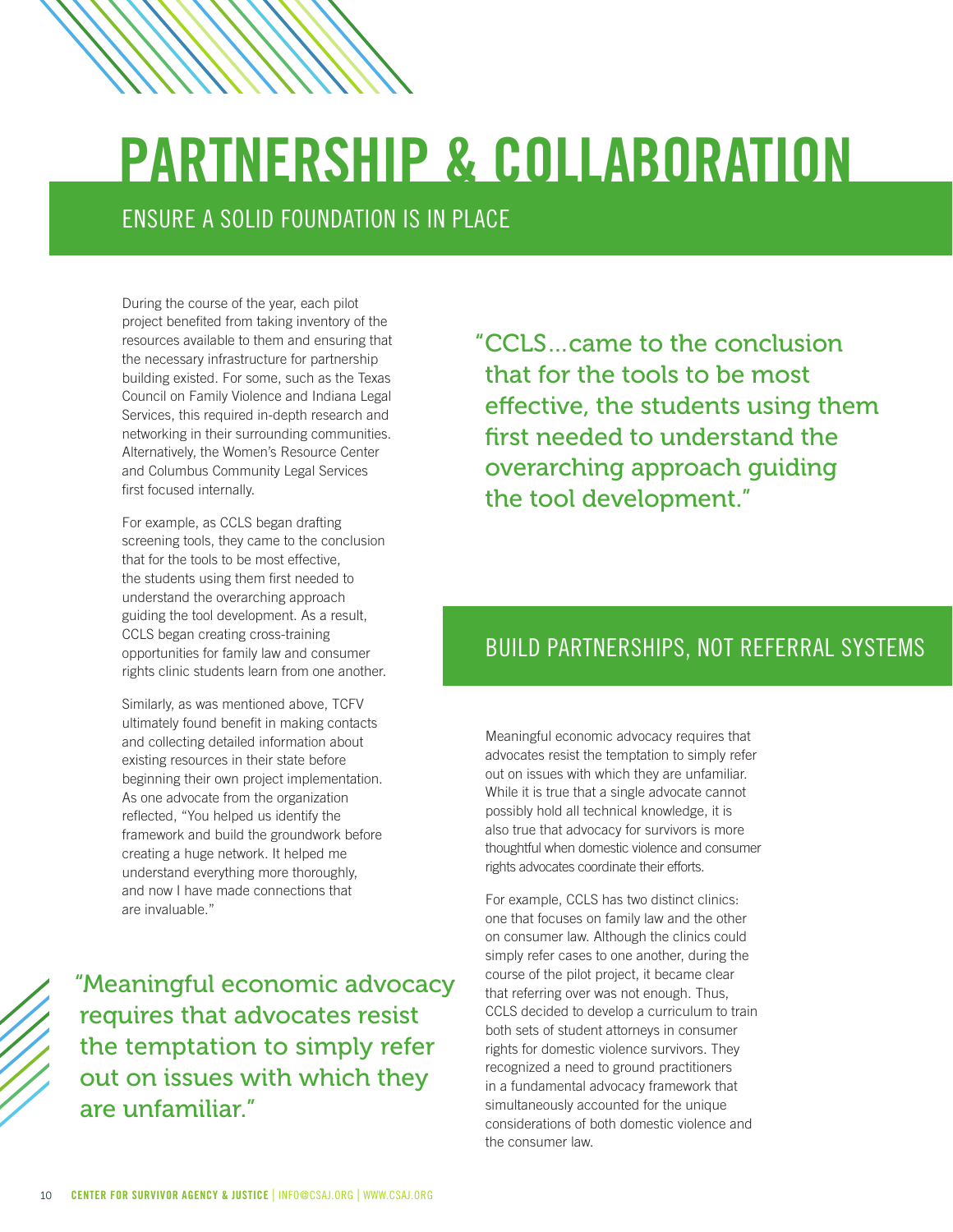# **PARTNERSHIP & COLLABORATION**

ENSURE A SOLID FOUNDATION IS IN PLACE

During the course of the year, each pilot project benefited from taking inventory of the resources available to them and ensuring that the necessary infrastructure for partnership building existed. For some, such as the Texas Council on Family Violence and Indiana Legal Services, this required in-depth research and networking in their surrounding communities. Alternatively, the Women's Resource Center and Columbus Community Legal Services first focused internally.

For example, as CCLS began drafting screening tools, they came to the conclusion that for the tools to be most effective, the students using them first needed to understand the overarching approach guiding the tool development. As a result, CCLS began creating cross-training opportunities for family law and consumer rights clinic students learn from one another.

Similarly, as was mentioned above, TCFV ultimately found benefit in making contacts and collecting detailed information about existing resources in their state before beginning their own project implementation. As one advocate from the organization reflected, "You helped us identify the framework and build the groundwork before creating a huge network. It helped me understand everything more thoroughly, and now I have made connections that are invaluable."

 "Meaningful economic advocacy requires that advocates resist the temptation to simply refer out on issues with which they are unfamiliar."

"CCLS…came to the conclusion that for the tools to be most effective, the students using them first needed to understand the overarching approach guiding the tool development."

#### BUILD PARTNERSHIPS, NOT REFERRAL SYSTEMS

Meaningful economic advocacy requires that advocates resist the temptation to simply refer out on issues with which they are unfamiliar. While it is true that a single advocate cannot possibly hold all technical knowledge, it is also true that advocacy for survivors is more thoughtful when domestic violence and consumer rights advocates coordinate their efforts.

For example, CCLS has two distinct clinics: one that focuses on family law and the other on consumer law. Although the clinics could simply refer cases to one another, during the course of the pilot project, it became clear that referring over was not enough. Thus, CCLS decided to develop a curriculum to train both sets of student attorneys in consumer rights for domestic violence survivors. They recognized a need to ground practitioners in a fundamental advocacy framework that simultaneously accounted for the unique considerations of both domestic violence and the consumer law.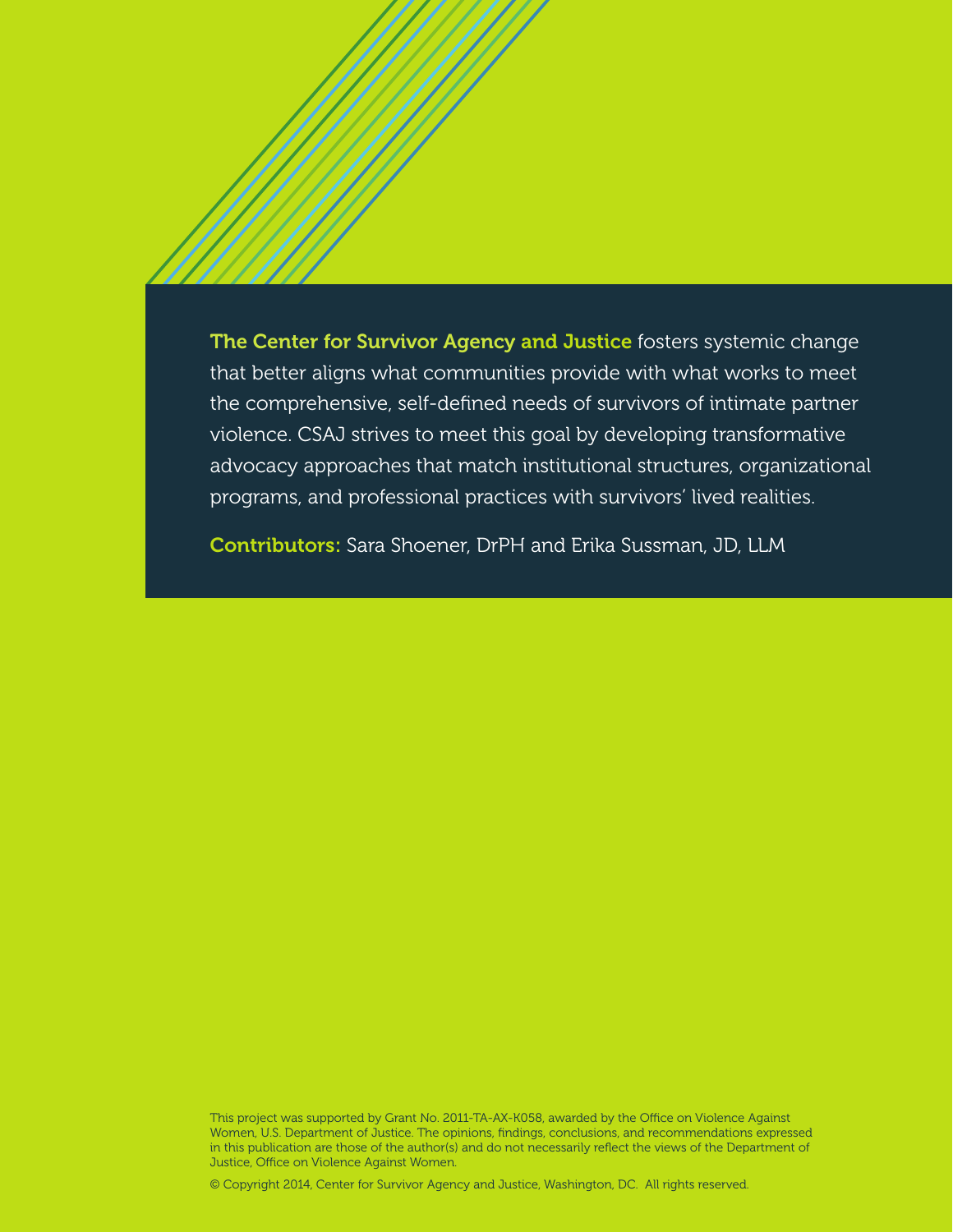The Center for Survivor Agency and Justice fosters systemic change that better aligns what communities provide with what works to meet the comprehensive, self-defined needs of survivors of intimate partner violence. CSAJ strives to meet this goal by developing transformative advocacy approaches that match institutional structures, organizational programs, and professional practices with survivors' lived realities.

Contributors: Sara Shoener, DrPH and Erika Sussman, JD, LLM

This project was supported by Grant No. 2011-TA-AX-K058, awarded by the Office on Violence Against Women, U.S. Department of Justice. The opinions, findings, conclusions, and recommendations expressed in this publication are those of the author(s) and do not necessarily reflect the views of the Department of Justice, Office on Violence Against Women.

© Copyright 2014, Center for Survivor Agency and Justice, Washington, DC. All rights reserved.